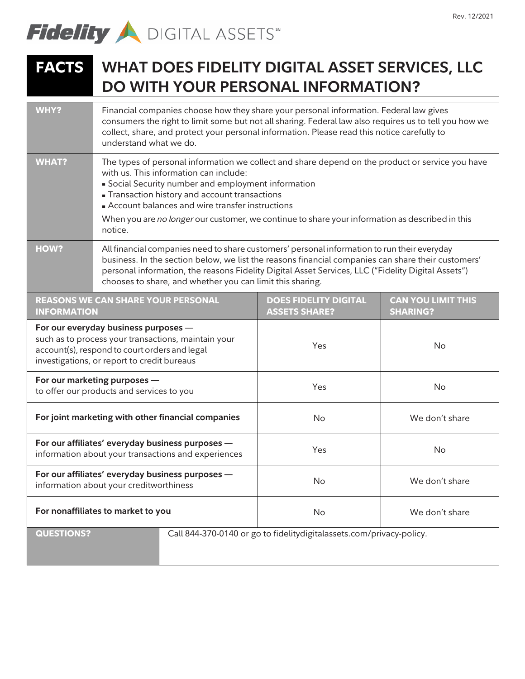

## **FACTS WHAT DOES FIDELITY DIGITAL ASSET SERVICES, LLC DO WITH YOUR PERSONAL INFORMATION?**

| <b>WHY?</b>                                                                                                                                                                                 | Financial companies choose how they share your personal information. Federal law gives<br>consumers the right to limit some but not all sharing. Federal law also requires us to tell you how we<br>collect, share, and protect your personal information. Please read this notice carefully to<br>understand what we do.                                                                                            |                                                                      |                                              |
|---------------------------------------------------------------------------------------------------------------------------------------------------------------------------------------------|----------------------------------------------------------------------------------------------------------------------------------------------------------------------------------------------------------------------------------------------------------------------------------------------------------------------------------------------------------------------------------------------------------------------|----------------------------------------------------------------------|----------------------------------------------|
| <b>WHAT?</b>                                                                                                                                                                                | The types of personal information we collect and share depend on the product or service you have<br>with us. This information can include:<br>Social Security number and employment information<br>- Transaction history and account transactions<br>- Account balances and wire transfer instructions<br>When you are no longer our customer, we continue to share your information as described in this<br>notice. |                                                                      |                                              |
| <b>HOW?</b>                                                                                                                                                                                 | All financial companies need to share customers' personal information to run their everyday<br>business. In the section below, we list the reasons financial companies can share their customers'<br>personal information, the reasons Fidelity Digital Asset Services, LLC ("Fidelity Digital Assets")<br>chooses to share, and whether you can limit this sharing.                                                 |                                                                      |                                              |
| <b>REASONS WE CAN SHARE YOUR PERSONAL</b><br><b>INFORMATION</b>                                                                                                                             |                                                                                                                                                                                                                                                                                                                                                                                                                      | <b>DOES FIDELITY DIGITAL</b><br><b>ASSETS SHARE?</b>                 | <b>CAN YOU LIMIT THIS</b><br><b>SHARING?</b> |
| For our everyday business purposes -<br>such as to process your transactions, maintain your<br>account(s), respond to court orders and legal<br>investigations, or report to credit bureaus |                                                                                                                                                                                                                                                                                                                                                                                                                      | Yes                                                                  | No                                           |
| For our marketing purposes -<br>to offer our products and services to you                                                                                                                   |                                                                                                                                                                                                                                                                                                                                                                                                                      | Yes                                                                  | No                                           |
| For joint marketing with other financial companies                                                                                                                                          |                                                                                                                                                                                                                                                                                                                                                                                                                      | No                                                                   | We don't share                               |
| For our affiliates' everyday business purposes -<br>information about your transactions and experiences                                                                                     |                                                                                                                                                                                                                                                                                                                                                                                                                      | Yes                                                                  | No                                           |
| For our affiliates' everyday business purposes -<br>information about your creditworthiness                                                                                                 |                                                                                                                                                                                                                                                                                                                                                                                                                      | No                                                                   | We don't share                               |
| For nonaffiliates to market to you                                                                                                                                                          |                                                                                                                                                                                                                                                                                                                                                                                                                      | No                                                                   | We don't share                               |
| <b>QUESTIONS?</b>                                                                                                                                                                           |                                                                                                                                                                                                                                                                                                                                                                                                                      | Call 844-370-0140 or go to fidelitydigitalassets.com/privacy-policy. |                                              |